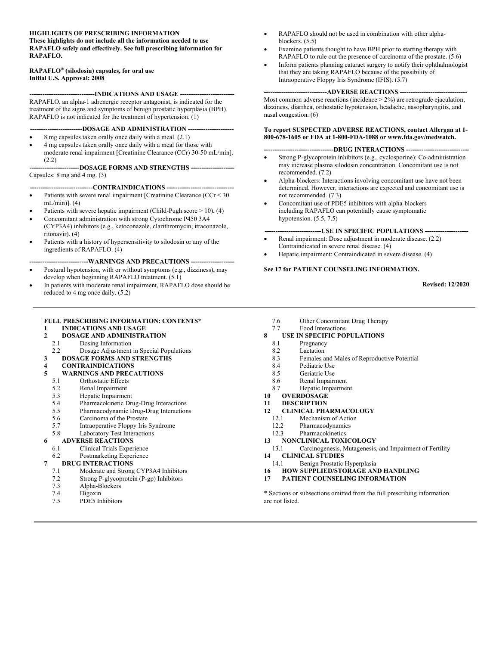#### **HIGHLIGHTS OF PRESCRIBING INFORMATION**

**These highlights do not include all the information needed to use RAPAFLO safely and effectively. See full prescribing information for RAPAFLO.** 

#### **RAPAFLO® (silodosin) capsules, for oral use Initial U.S. Approval: 2008**

**------------------------------INDICATIONS AND USAGE -------------------------**  RAPAFLO, an alpha-1 adrenergic receptor antagonist, is indicated for the

treatment of the signs and symptoms of benign prostatic hyperplasia (BPH). RAPAFLO is not indicated for the treatment of hypertension. (1)

#### ---DOSAGE AND ADMINISTRATION ---

- 8 mg capsules taken orally once daily with a meal. (2.1)
- 4 mg capsules taken orally once daily with a meal for those with moderate renal impairment [Creatinine Clearance (CCr) 30-50 mL/min]. (2.2)

#### **-----------------------DOSAGE FORMS AND STRENGTHS --------------------**  Capsules: 8 mg and 4 mg. (3)

#### **-----------------------------CONTRAINDICATIONS -------------------------------**

- Patients with severe renal impairment [Creatinine Clearance (CCr < 30 mL/min)]. (4)
- Patients with severe hepatic impairment (Child-Pugh score > 10). (4)
- Concomitant administration with strong Cytochrome P450 3A4 (CYP3A4) inhibitors (e.g., ketoconazole, clarithromycin, itraconazole, ritonavir). (4)
- Patients with a history of hypersensitivity to silodosin or any of the ingredients of RAPAFLO. (4)

#### **---------------------------WARNINGS AND PRECAUTIONS --------------------**

- Postural hypotension, with or without symptoms (e.g., dizziness), may develop when beginning RAPAFLO treatment. (5.1)
- In patients with moderate renal impairment, RAPAFLO dose should be reduced to 4 mg once daily. (5.2)

#### **FULL PRESCRIBING INFORMATION: CONTENTS\***

- **1 INDICATIONS AND USAGE**
- **2 DOSAGE AND ADMINISTRATION**
- 2.1 Dosing Information
- 2.2 Dosage Adjustment in Special Populations

#### **3 DOSAGE FORMS AND STRENGTHS**

- **4 CONTRAINDICATIONS**
- **5 WARNINGS AND PRECAUTIONS**
	- 5.1 Orthostatic Effects
	- 5.2 Renal Impairment
	- 5.3 Hepatic Impairment
	- 5.4 Pharmacokinetic Drug-Drug Interactions
	- 5.5 Pharmacodynamic Drug-Drug Interactions
	- 5.6 Carcinoma of the Prostate
	- 5.7 Intraoperative Floppy Iris Syndrome 5.8 Laboratory Test Interactions

#### **6 ADVERSE REACTIONS**

- 6.1 Clinical Trials Experience
- 6.2 Postmarketing Experience

- **7 DRUG INTERACTIONS**<br>7.1 Moderate and Strong Moderate and Strong CYP3A4 Inhibitors
	- 7.2 Strong P-glycoprotein (P-gp) Inhibitors
	-
	- 7.3 Alpha-Blockers Digoxin
	- 7.5 PDE5 Inhibitors
- RAPAFLO should not be used in combination with other alphablockers. (5.5)
- Examine patients thought to have BPH prior to starting therapy with RAPAFLO to rule out the presence of carcinoma of the prostate. (5.6)
- Inform patients planning cataract surgery to notify their ophthalmologist that they are taking RAPAFLO because of the possibility of Intraoperative Floppy Iris Syndrome (IFIS). (5.7)

#### **-----------------------------ADVERSE REACTIONS -------------------------------**

Most common adverse reactions (incidence > 2%) are retrograde ejaculation, dizziness, diarrhea, orthostatic hypotension, headache, nasopharyngitis, and nasal congestion. (6)

#### **To report SUSPECTED ADVERSE REACTIONS, contact Allergan at 1- 800-678-1605 or FDA at 1-800-FDA-1088 or www.fda.gov/medwatch.**

#### **--------------------------------DRUG INTERACTIONS -----------------------------**

- Strong P-glycoprotein inhibitors (e.g., cyclosporine): Co-administration may increase plasma silodosin concentration. Concomitant use is not recommended. (7.2)
- Alpha-blockers: Interactions involving concomitant use have not been determined. However, interactions are expected and concomitant use is not recommended. (7.3)
- Concomitant use of PDE5 inhibitors with alpha-blockers including RAPAFLO can potentially cause symptomatic hypotension. (5.5, 7.5)

#### **----USE IN SPECIFIC POPULATIONS ----**

- Renal impairment: Dose adjustment in moderate disease. (2.2) Contraindicated in severe renal disease. (4)
- Hepatic impairment: Contraindicated in severe disease. (4)

#### **See 17 for PATIENT COUNSELING INFORMATION.**

**Revised: 12/2020** 

- 7.6 Other Concomitant Drug Therapy
- 7.7 Food Interactions

#### **8 USE IN SPECIFIC POPULATIONS**

- 8.1 Pregnancy
- 8.2 Lactation<br>8.3 Females a
- Females and Males of Reproductive Potential
- 8.4 Pediatric Use
- 8.5 Geriatric Use
- 8.6 Renal Impairment<br>8.7 Henatic Impairmer
- Hepatic Impairment
- **10 OVERDOSAGE**
- **11 DESCRIPTION**<br>**12 CLINICAL PHA** 
	- **12 CLINICAL PHARMACOLOGY**
	- 12.1 Mechanism of Action
	- 12.2 Pharmacodynamics
- 12.3 Pharmacokinetics<br>13 NONCLINICAL TOXI
- **13 NONCLINICAL TOXICOLOGY**
- 13.1 Carcinogenesis, Mutagenesis, and Impairment of Fertility **14 CLINICAL STUDIES**
- 14.1 Benign Prostatic Hyperplasia
- **16 HOW SUPPLIED/STORAGE AND HANDLING**
- **17 PATIENT COUNSELING INFORMATION**

\* Sections or subsections omitted from the full prescribing information are not listed.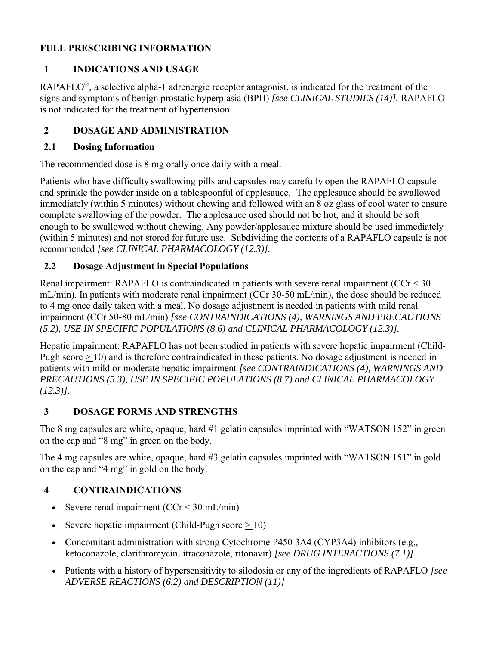### **FULL PRESCRIBING INFORMATION**

### **1 INDICATIONS AND USAGE**

RAPAFLO<sup>®</sup>, a selective alpha-1 adrenergic receptor antagonist, is indicated for the treatment of the signs and symptoms of benign prostatic hyperplasia (BPH) *[see CLINICAL STUDIES (14)].* RAPAFLO is not indicated for the treatment of hypertension.

# **2 DOSAGE AND ADMINISTRATION**

#### **2.1 Dosing Information**

The recommended dose is 8 mg orally once daily with a meal.

Patients who have difficulty swallowing pills and capsules may carefully open the RAPAFLO capsule and sprinkle the powder inside on a tablespoonful of applesauce. The applesauce should be swallowed immediately (within 5 minutes) without chewing and followed with an 8 oz glass of cool water to ensure complete swallowing of the powder. The applesauce used should not be hot, and it should be soft enough to be swallowed without chewing. Any powder/applesauce mixture should be used immediately (within 5 minutes) and not stored for future use. Subdividing the contents of a RAPAFLO capsule is not recommended *[see CLINICAL PHARMACOLOGY (12.3)].*

# **2.2 Dosage Adjustment in Special Populations**

Renal impairment: RAPAFLO is contraindicated in patients with severe renal impairment (CCr < 30 mL/min). In patients with moderate renal impairment (CCr 30-50 mL/min), the dose should be reduced to 4 mg once daily taken with a meal. No dosage adjustment is needed in patients with mild renal impairment (CCr 50-80 mL/min) *[see CONTRAINDICATIONS (4), WARNINGS AND PRECAUTIONS (5.2), USE IN SPECIFIC POPULATIONS (8.6) and CLINICAL PHARMACOLOGY (12.3)].*

Hepatic impairment: RAPAFLO has not been studied in patients with severe hepatic impairment (Child-Pugh score > 10) and is therefore contraindicated in these patients. No dosage adjustment is needed in patients with mild or moderate hepatic impairment *[see CONTRAINDICATIONS (4), WARNINGS AND PRECAUTIONS (5.3), USE IN SPECIFIC POPULATIONS (8.7) and CLINICAL PHARMACOLOGY (12.3)].*

### **3 DOSAGE FORMS AND STRENGTHS**

The 8 mg capsules are white, opaque, hard #1 gelatin capsules imprinted with "WATSON 152" in green on the cap and "8 mg" in green on the body.

The 4 mg capsules are white, opaque, hard #3 gelatin capsules imprinted with "WATSON 151" in gold on the cap and "4 mg" in gold on the body.

# **4 CONTRAINDICATIONS**

- Severe renal impairment  $(CCr < 30$  mL/min)
- Severe hepatic impairment (Child-Pugh score  $> 10$ )
- Concomitant administration with strong Cytochrome P450 3A4 (CYP3A4) inhibitors (e.g., ketoconazole, clarithromycin, itraconazole, ritonavir) *[see DRUG INTERACTIONS (7.1)]*
- Patients with a history of hypersensitivity to silodosin or any of the ingredients of RAPAFLO *[see ADVERSE REACTIONS (6.2) and DESCRIPTION (11)]*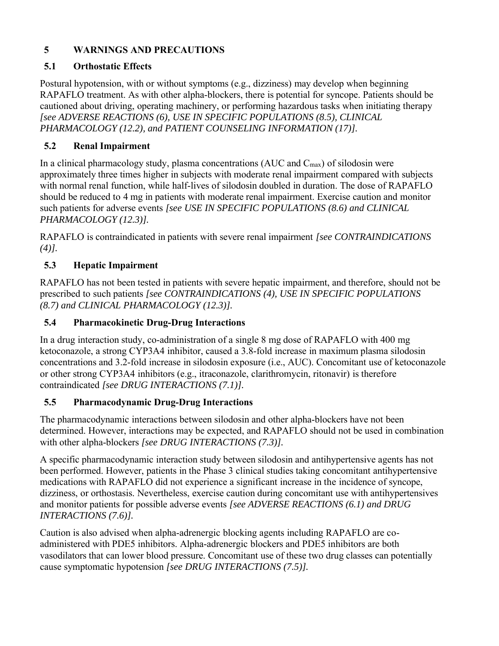# **5 WARNINGS AND PRECAUTIONS**

### **5.1 Orthostatic Effects**

Postural hypotension, with or without symptoms (e.g., dizziness) may develop when beginning RAPAFLO treatment. As with other alpha-blockers, there is potential for syncope. Patients should be cautioned about driving, operating machinery, or performing hazardous tasks when initiating therapy *[see ADVERSE REACTIONS (6), USE IN SPECIFIC POPULATIONS (8.5), CLINICAL PHARMACOLOGY (12.2), and PATIENT COUNSELING INFORMATION (17)].*

# **5.2 Renal Impairment**

In a clinical pharmacology study, plasma concentrations (AUC and  $C_{\text{max}}$ ) of silodosin were approximately three times higher in subjects with moderate renal impairment compared with subjects with normal renal function, while half-lives of silodosin doubled in duration. The dose of RAPAFLO should be reduced to 4 mg in patients with moderate renal impairment. Exercise caution and monitor such patients for adverse events *[see USE IN SPECIFIC POPULATIONS (8.6) and CLINICAL PHARMACOLOGY (12.3)].*

RAPAFLO is contraindicated in patients with severe renal impairment *[see CONTRAINDICATIONS (4)].*

# **5.3 Hepatic Impairment**

RAPAFLO has not been tested in patients with severe hepatic impairment, and therefore, should not be prescribed to such patients *[see CONTRAINDICATIONS (4), USE IN SPECIFIC POPULATIONS (8.7) and CLINICAL PHARMACOLOGY (12.3)].*

# **5.4 Pharmacokinetic Drug-Drug Interactions**

In a drug interaction study, co-administration of a single 8 mg dose of RAPAFLO with 400 mg ketoconazole, a strong CYP3A4 inhibitor, caused a 3.8-fold increase in maximum plasma silodosin concentrations and 3.2-fold increase in silodosin exposure (i.e., AUC). Concomitant use of ketoconazole or other strong CYP3A4 inhibitors (e.g., itraconazole, clarithromycin, ritonavir) is therefore contraindicated *[see DRUG INTERACTIONS (7.1)].*

### **5.5 Pharmacodynamic Drug-Drug Interactions**

The pharmacodynamic interactions between silodosin and other alpha-blockers have not been determined. However, interactions may be expected, and RAPAFLO should not be used in combination with other alpha-blockers *[see DRUG INTERACTIONS (7.3)].*

A specific pharmacodynamic interaction study between silodosin and antihypertensive agents has not been performed. However, patients in the Phase 3 clinical studies taking concomitant antihypertensive medications with RAPAFLO did not experience a significant increase in the incidence of syncope, dizziness, or orthostasis. Nevertheless, exercise caution during concomitant use with antihypertensives and monitor patients for possible adverse events *[see ADVERSE REACTIONS (6.1) and DRUG INTERACTIONS (7.6)].*

Caution is also advised when alpha-adrenergic blocking agents including RAPAFLO are coadministered with PDE5 inhibitors. Alpha-adrenergic blockers and PDE5 inhibitors are both vasodilators that can lower blood pressure. Concomitant use of these two drug classes can potentially cause symptomatic hypotension *[see DRUG INTERACTIONS (7.5)].*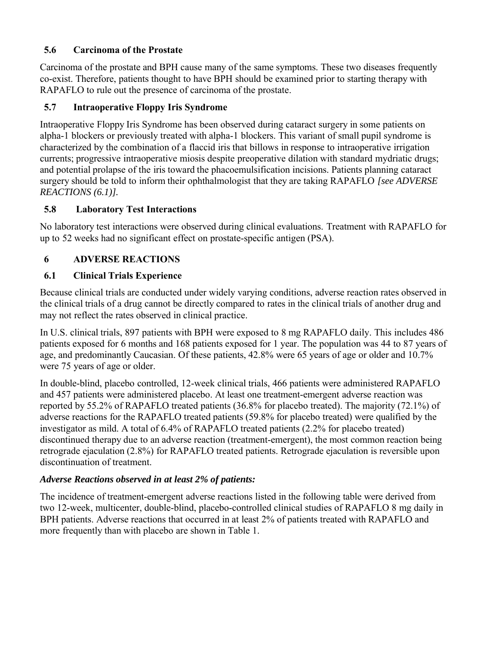### **5.6 Carcinoma of the Prostate**

Carcinoma of the prostate and BPH cause many of the same symptoms. These two diseases frequently co-exist. Therefore, patients thought to have BPH should be examined prior to starting therapy with RAPAFLO to rule out the presence of carcinoma of the prostate.

# **5.7 Intraoperative Floppy Iris Syndrome**

Intraoperative Floppy Iris Syndrome has been observed during cataract surgery in some patients on alpha-1 blockers or previously treated with alpha-1 blockers. This variant of small pupil syndrome is characterized by the combination of a flaccid iris that billows in response to intraoperative irrigation currents; progressive intraoperative miosis despite preoperative dilation with standard mydriatic drugs; and potential prolapse of the iris toward the phacoemulsification incisions. Patients planning cataract surgery should be told to inform their ophthalmologist that they are taking RAPAFLO *[see ADVERSE REACTIONS (6.1)].*

# **5.8 Laboratory Test Interactions**

No laboratory test interactions were observed during clinical evaluations. Treatment with RAPAFLO for up to 52 weeks had no significant effect on prostate-specific antigen (PSA).

# **6 ADVERSE REACTIONS**

### **6.1 Clinical Trials Experience**

Because clinical trials are conducted under widely varying conditions, adverse reaction rates observed in the clinical trials of a drug cannot be directly compared to rates in the clinical trials of another drug and may not reflect the rates observed in clinical practice.

In U.S. clinical trials, 897 patients with BPH were exposed to 8 mg RAPAFLO daily. This includes 486 patients exposed for 6 months and 168 patients exposed for 1 year. The population was 44 to 87 years of age, and predominantly Caucasian. Of these patients, 42.8% were 65 years of age or older and 10.7% were 75 years of age or older.

In double-blind, placebo controlled, 12-week clinical trials, 466 patients were administered RAPAFLO and 457 patients were administered placebo. At least one treatment-emergent adverse reaction was reported by 55.2% of RAPAFLO treated patients (36.8% for placebo treated). The majority (72.1%) of adverse reactions for the RAPAFLO treated patients (59.8% for placebo treated) were qualified by the investigator as mild. A total of 6.4% of RAPAFLO treated patients (2.2% for placebo treated) discontinued therapy due to an adverse reaction (treatment-emergent), the most common reaction being retrograde ejaculation (2.8%) for RAPAFLO treated patients. Retrograde ejaculation is reversible upon discontinuation of treatment.

### *Adverse Reactions observed in at least 2% of patients:*

The incidence of treatment-emergent adverse reactions listed in the following table were derived from two 12-week, multicenter, double-blind, placebo-controlled clinical studies of RAPAFLO 8 mg daily in BPH patients. Adverse reactions that occurred in at least 2% of patients treated with RAPAFLO and more frequently than with placebo are shown in Table 1.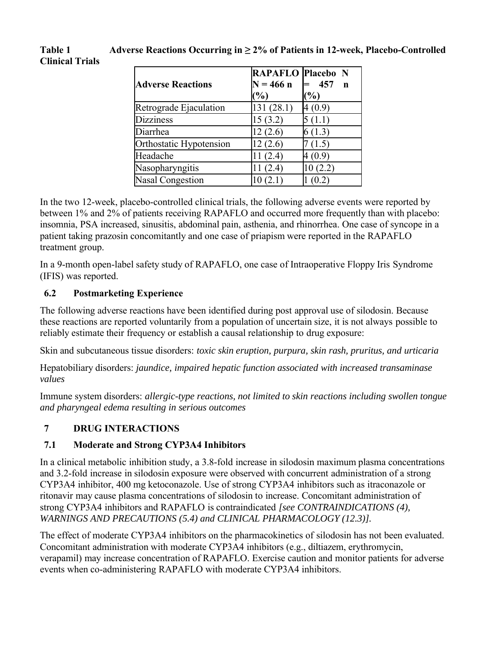# **Table 1 Adverse Reactions Occurring in ≥ 2% of Patients in 12-week, Placebo-Controlled Clinical Trials**

| <b>Adverse Reactions</b> | RAPAFLO Placebo N<br>$N = 466 n$<br>(%) | 457<br>$\mathbf n$<br>$\mathcal{O}'_0$ |
|--------------------------|-----------------------------------------|----------------------------------------|
| Retrograde Ejaculation   | 131 (28.1)                              | 4 (0.9)                                |
| <b>Dizziness</b>         | 15(3.2)                                 | 5(1.1)                                 |
| Diarrhea                 | 12(2.6)                                 | 6(1.3)                                 |
| Orthostatic Hypotension  | 12(2.6)                                 | 7(1.5)                                 |
| Headache                 | 11(2.4)                                 | 4 (0.9)                                |
| Nasopharyngitis          | (2.4)                                   | 10(2.2)                                |
| <b>Nasal Congestion</b>  |                                         | (0.2)                                  |

In the two 12-week, placebo-controlled clinical trials, the following adverse events were reported by between 1% and 2% of patients receiving RAPAFLO and occurred more frequently than with placebo: insomnia, PSA increased, sinusitis, abdominal pain, asthenia, and rhinorrhea. One case of syncope in a patient taking prazosin concomitantly and one case of priapism were reported in the RAPAFLO treatment group.

In a 9-month open-label safety study of RAPAFLO, one case of Intraoperative Floppy Iris Syndrome (IFIS) was reported.

### **6.2 Postmarketing Experience**

The following adverse reactions have been identified during post approval use of silodosin. Because these reactions are reported voluntarily from a population of uncertain size, it is not always possible to reliably estimate their frequency or establish a causal relationship to drug exposure:

Skin and subcutaneous tissue disorders: *toxic skin eruption, purpura, skin rash, pruritus, and urticaria*

Hepatobiliary disorders: *jaundice, impaired hepatic function associated with increased transaminase values*

Immune system disorders: *allergic-type reactions, not limited to skin reactions including swollen tongue and pharyngeal edema resulting in serious outcomes*

### **7 DRUG INTERACTIONS**

#### **7.1 Moderate and Strong CYP3A4 Inhibitors**

In a clinical metabolic inhibition study, a 3.8-fold increase in silodosin maximum plasma concentrations and 3.2-fold increase in silodosin exposure were observed with concurrent administration of a strong CYP3A4 inhibitor, 400 mg ketoconazole. Use of strong CYP3A4 inhibitors such as itraconazole or ritonavir may cause plasma concentrations of silodosin to increase. Concomitant administration of strong CYP3A4 inhibitors and RAPAFLO is contraindicated *[see CONTRAINDICATIONS (4), WARNINGS AND PRECAUTIONS (5.4) and CLINICAL PHARMACOLOGY (12.3)].*

The effect of moderate CYP3A4 inhibitors on the pharmacokinetics of silodosin has not been evaluated. Concomitant administration with moderate CYP3A4 inhibitors (e.g., diltiazem, erythromycin, verapamil) may increase concentration of RAPAFLO. Exercise caution and monitor patients for adverse events when co-administering RAPAFLO with moderate CYP3A4 inhibitors.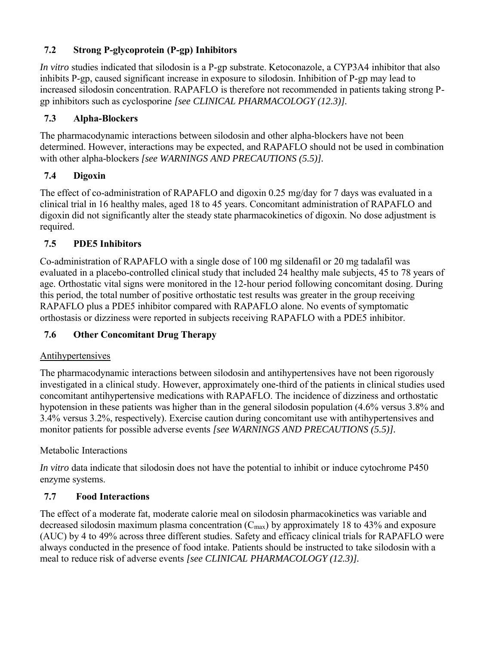# **7.2 Strong P-glycoprotein (P-gp) Inhibitors**

*In vitro* studies indicated that silodosin is a P-gp substrate. Ketoconazole, a CYP3A4 inhibitor that also inhibits P-gp, caused significant increase in exposure to silodosin. Inhibition of P-gp may lead to increased silodosin concentration. RAPAFLO is therefore not recommended in patients taking strong Pgp inhibitors such as cyclosporine *[see CLINICAL PHARMACOLOGY (12.3)].*

# **7.3 Alpha-Blockers**

The pharmacodynamic interactions between silodosin and other alpha-blockers have not been determined. However, interactions may be expected, and RAPAFLO should not be used in combination with other alpha-blockers *[see WARNINGS AND PRECAUTIONS (5.5)].*

# **7.4 Digoxin**

The effect of co-administration of RAPAFLO and digoxin 0.25 mg/day for 7 days was evaluated in a clinical trial in 16 healthy males, aged 18 to 45 years. Concomitant administration of RAPAFLO and digoxin did not significantly alter the steady state pharmacokinetics of digoxin. No dose adjustment is required.

# **7.5 PDE5 Inhibitors**

Co-administration of RAPAFLO with a single dose of 100 mg sildenafil or 20 mg tadalafil was evaluated in a placebo-controlled clinical study that included 24 healthy male subjects, 45 to 78 years of age. Orthostatic vital signs were monitored in the 12-hour period following concomitant dosing. During this period, the total number of positive orthostatic test results was greater in the group receiving RAPAFLO plus a PDE5 inhibitor compared with RAPAFLO alone. No events of symptomatic orthostasis or dizziness were reported in subjects receiving RAPAFLO with a PDE5 inhibitor.

# **7.6 Other Concomitant Drug Therapy**

### Antihypertensives

The pharmacodynamic interactions between silodosin and antihypertensives have not been rigorously investigated in a clinical study. However, approximately one-third of the patients in clinical studies used concomitant antihypertensive medications with RAPAFLO. The incidence of dizziness and orthostatic hypotension in these patients was higher than in the general silodosin population (4.6% versus 3.8% and 3.4% versus 3.2%, respectively). Exercise caution during concomitant use with antihypertensives and monitor patients for possible adverse events *[see WARNINGS AND PRECAUTIONS (5.5)].*

### Metabolic Interactions

*In vitro* data indicate that silodosin does not have the potential to inhibit or induce cytochrome P450 enzyme systems.

### **7.7 Food Interactions**

The effect of a moderate fat, moderate calorie meal on silodosin pharmacokinetics was variable and decreased silodosin maximum plasma concentration  $(C_{\text{max}})$  by approximately 18 to 43% and exposure (AUC) by 4 to 49% across three different studies. Safety and efficacy clinical trials for RAPAFLO were always conducted in the presence of food intake. Patients should be instructed to take silodosin with a meal to reduce risk of adverse events *[see CLINICAL PHARMACOLOGY (12.3)].*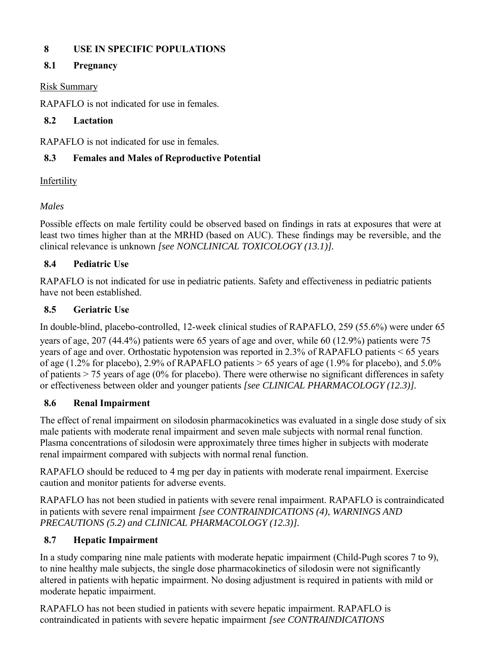# **8 USE IN SPECIFIC POPULATIONS**

# **8.1 Pregnancy**

### Risk Summary

RAPAFLO is not indicated for use in females.

#### **8.2 Lactation**

RAPAFLO is not indicated for use in females.

# **8.3 Females and Males of Reproductive Potential**

### Infertility

# *Males*

Possible effects on male fertility could be observed based on findings in rats at exposures that were at least two times higher than at the MRHD (based on AUC). These findings may be reversible, and the clinical relevance is unknown *[see NONCLINICAL TOXICOLOGY (13.1)].*

# **8.4 Pediatric Use**

RAPAFLO is not indicated for use in pediatric patients. Safety and effectiveness in pediatric patients have not been established.

# **8.5 Geriatric Use**

In double-blind, placebo-controlled, 12-week clinical studies of RAPAFLO, 259 (55.6%) were under 65 years of age, 207 (44.4%) patients were 65 years of age and over, while 60 (12.9%) patients were 75 years of age and over. Orthostatic hypotension was reported in 2.3% of RAPAFLO patients < 65 years of age (1.2% for placebo), 2.9% of RAPAFLO patients  $> 65$  years of age (1.9% for placebo), and 5.0% of patients  $> 75$  years of age (0% for placebo). There were otherwise no significant differences in safety or effectiveness between older and younger patients *[see CLINICAL PHARMACOLOGY (12.3)].*

### **8.6 Renal Impairment**

The effect of renal impairment on silodosin pharmacokinetics was evaluated in a single dose study of six male patients with moderate renal impairment and seven male subjects with normal renal function. Plasma concentrations of silodosin were approximately three times higher in subjects with moderate renal impairment compared with subjects with normal renal function.

RAPAFLO should be reduced to 4 mg per day in patients with moderate renal impairment. Exercise caution and monitor patients for adverse events.

RAPAFLO has not been studied in patients with severe renal impairment. RAPAFLO is contraindicated in patients with severe renal impairment *[see CONTRAINDICATIONS (4)*, *WARNINGS AND PRECAUTIONS (5.2) and CLINICAL PHARMACOLOGY (12.3)].*

### **8.7 Hepatic Impairment**

In a study comparing nine male patients with moderate hepatic impairment (Child-Pugh scores 7 to 9), to nine healthy male subjects, the single dose pharmacokinetics of silodosin were not significantly altered in patients with hepatic impairment. No dosing adjustment is required in patients with mild or moderate hepatic impairment.

RAPAFLO has not been studied in patients with severe hepatic impairment. RAPAFLO is contraindicated in patients with severe hepatic impairment *[see CONTRAINDICATIONS*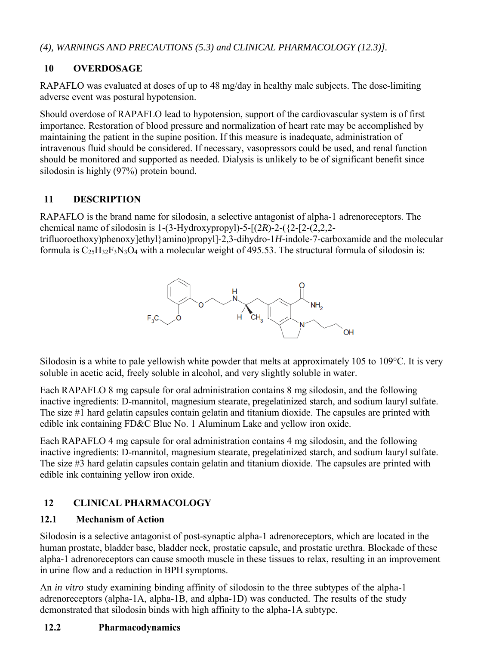*(4), WARNINGS AND PRECAUTIONS (5.3) and CLINICAL PHARMACOLOGY (12.3)].*

# **10 OVERDOSAGE**

RAPAFLO was evaluated at doses of up to 48 mg/day in healthy male subjects. The dose-limiting adverse event was postural hypotension.

Should overdose of RAPAFLO lead to hypotension, support of the cardiovascular system is of first importance. Restoration of blood pressure and normalization of heart rate may be accomplished by maintaining the patient in the supine position. If this measure is inadequate, administration of intravenous fluid should be considered. If necessary, vasopressors could be used, and renal function should be monitored and supported as needed. Dialysis is unlikely to be of significant benefit since silodosin is highly (97%) protein bound.

#### **11 DESCRIPTION**

RAPAFLO is the brand name for silodosin, a selective antagonist of alpha-1 adrenoreceptors. The chemical name of silodosin is 1-(3-Hydroxypropyl)-5-[(2*R*)-2-({2-[2-(2,2,2-

trifluoroethoxy)phenoxy]ethyl}amino)propyl]-2,3-dihydro-1*H*-indole-7-carboxamide and the molecular formula is  $C_{25}H_{32}F_3N_3O_4$  with a molecular weight of 495.53. The structural formula of silodosin is:



Silodosin is a white to pale yellowish white powder that melts at approximately 105 to 109°C. It is very soluble in acetic acid, freely soluble in alcohol, and very slightly soluble in water.

Each RAPAFLO 8 mg capsule for oral administration contains 8 mg silodosin, and the following inactive ingredients: D-mannitol, magnesium stearate, pregelatinized starch, and sodium lauryl sulfate. The size #1 hard gelatin capsules contain gelatin and titanium dioxide. The capsules are printed with edible ink containing FD&C Blue No. 1 Aluminum Lake and yellow iron oxide.

Each RAPAFLO 4 mg capsule for oral administration contains 4 mg silodosin, and the following inactive ingredients: D-mannitol, magnesium stearate, pregelatinized starch, and sodium lauryl sulfate. The size #3 hard gelatin capsules contain gelatin and titanium dioxide. The capsules are printed with edible ink containing yellow iron oxide.

# **12 CLINICAL PHARMACOLOGY**

#### **12.1 Mechanism of Action**

Silodosin is a selective antagonist of post-synaptic alpha-1 adrenoreceptors, which are located in the human prostate, bladder base, bladder neck, prostatic capsule, and prostatic urethra. Blockade of these alpha-1 adrenoreceptors can cause smooth muscle in these tissues to relax, resulting in an improvement in urine flow and a reduction in BPH symptoms.

An *in vitro* study examining binding affinity of silodosin to the three subtypes of the alpha-1 adrenoreceptors (alpha-1A, alpha-1B, and alpha-1D) was conducted. The results of the study demonstrated that silodosin binds with high affinity to the alpha-1A subtype.

### **12.2 Pharmacodynamics**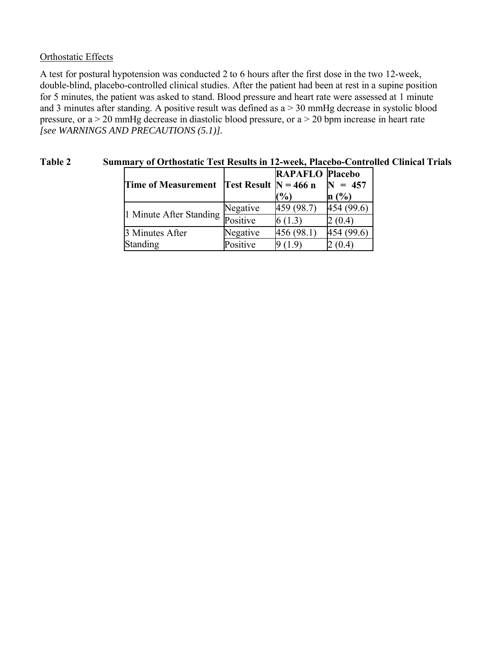#### Orthostatic Effects

A test for postural hypotension was conducted 2 to 6 hours after the first dose in the two 12-week, double-blind, placebo-controlled clinical studies. After the patient had been at rest in a supine position for 5 minutes, the patient was asked to stand. Blood pressure and heart rate were assessed at 1 minute and 3 minutes after standing. A positive result was defined as  $a > 30$  mmHg decrease in systolic blood pressure, or a > 20 mmHg decrease in diastolic blood pressure, or a > 20 bpm increase in heart rate *[see WARNINGS AND PRECAUTIONS (5.1)].*

| <b>Time of Measurement</b> | Test Result $N = 466$ n | <b>RAPAFLO Placebo</b> | $= 457$       |  |
|----------------------------|-------------------------|------------------------|---------------|--|
|                            |                         | $\frac{1}{2}$          | n(%)          |  |
| 1 Minute After Standing    | Negative                | 459 (98.7)             | 454 (99.6)    |  |
|                            | Positive                | 6(1.3)                 | 2 (0.4)       |  |
| 3 Minutes After            | Negative                | 456 (98.1)             | (99.6)<br>454 |  |
| Standing                   | Positive                | (1.9)                  | (0.4)         |  |

#### **Table 2 Summary of Orthostatic Test Results in 12-week, Placebo-Controlled Clinical Trials**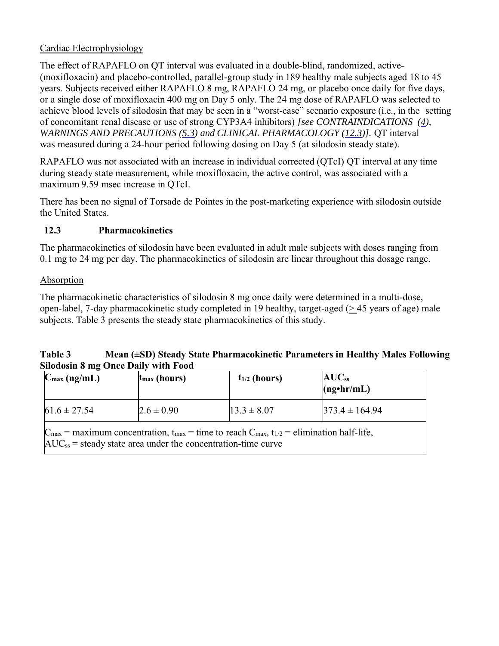#### Cardiac Electrophysiology

The effect of RAPAFLO on QT interval was evaluated in a double-blind, randomized, active- (moxifloxacin) and placebo-controlled, parallel-group study in 189 healthy male subjects aged 18 to 45 years. Subjects received either RAPAFLO 8 mg, RAPAFLO 24 mg, or placebo once daily for five days, or a single dose of moxifloxacin 400 mg on Day 5 only. The 24 mg dose of RAPAFLO was selected to achieve blood levels of silodosin that may be seen in a "worst-case" scenario exposure (i.e., in the setting of concomitant renal disease or use of strong CYP3A4 inhibitors) *[see CONTRAINDICATIONS (4), WARNINGS AND PRECAUTIONS (5.3) and CLINICAL PHARMACOLOGY (12.3)].* QT interval was measured during a 24-hour period following dosing on Day 5 (at silodosin steady state).

RAPAFLO was not associated with an increase in individual corrected (QTcI) QT interval at any time during steady state measurement, while moxifloxacin, the active control, was associated with a maximum 9.59 msec increase in QTcI.

There has been no signal of Torsade de Pointes in the post-marketing experience with silodosin outside the United States.

### **12.3 Pharmacokinetics**

The pharmacokinetics of silodosin have been evaluated in adult male subjects with doses ranging from 0.1 mg to 24 mg per day. The pharmacokinetics of silodosin are linear throughout this dosage range.

#### Absorption

The pharmacokinetic characteristics of silodosin 8 mg once daily were determined in a multi-dose, open-label, 7-day pharmacokinetic study completed in 19 healthy, target-aged (> 45 years of age) male subjects. Table 3 presents the steady state pharmacokinetics of this study.

#### **Table 3 Mean (±SD) Steady State Pharmacokinetic Parameters in Healthy Males Following Silodosin 8 mg Once Daily with Food**

| $C_{\text{max}}$ (ng/mL)                                                                                                                                                                                     | $t_{\text{max}}$ (hours) | $t_{1/2}$ (hours) | $AUC_{ss}$<br>$(ng\cdot hr/mL)$ |
|--------------------------------------------------------------------------------------------------------------------------------------------------------------------------------------------------------------|--------------------------|-------------------|---------------------------------|
| $61.6 \pm 27.54$                                                                                                                                                                                             | $2.6 \pm 0.90$           | $13.3 \pm 8.07$   | $373.4 \pm 164.94$              |
| $C_{\text{max}}$ = maximum concentration, t <sub>max</sub> = time to reach $C_{\text{max}}$ , t <sub>1/2</sub> = elimination half-life,<br>$AUC_{ss}$ = steady state area under the concentration-time curve |                          |                   |                                 |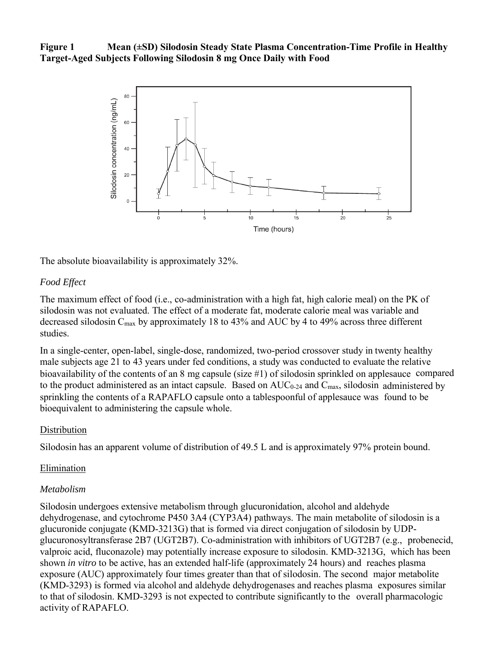**Figure 1 Mean (±SD) Silodosin Steady State Plasma Concentration-Time Profile in Healthy Target-Aged Subjects Following Silodosin 8 mg Once Daily with Food**



The absolute bioavailability is approximately 32%.

#### *Food Effect*

The maximum effect of food (i.e., co-administration with a high fat, high calorie meal) on the PK of silodosin was not evaluated. The effect of a moderate fat, moderate calorie meal was variable and decreased silodosin Cmax by approximately 18 to 43% and AUC by 4 to 49% across three different studies.

In a single-center, open-label, single-dose, randomized, two-period crossover study in twenty healthy male subjects age 21 to 43 years under fed conditions, a study was conducted to evaluate the relative bioavailability of the contents of an 8 mg capsule (size #1) of silodosin sprinkled on applesauce compared to the product administered as an intact capsule. Based on  $AUC_{0-24}$  and  $C_{\text{max}}$ , silodosin administered by sprinkling the contents of a RAPAFLO capsule onto a tablespoonful of applesauce was found to be bioequivalent to administering the capsule whole.

#### **Distribution**

Silodosin has an apparent volume of distribution of 49.5 L and is approximately 97% protein bound.

#### Elimination

#### *Metabolism*

Silodosin undergoes extensive metabolism through glucuronidation, alcohol and aldehyde dehydrogenase, and cytochrome P450 3A4 (CYP3A4) pathways. The main metabolite of silodosin is a glucuronide conjugate (KMD-3213G) that is formed via direct conjugation of silodosin by UDPglucuronosyltransferase 2B7 (UGT2B7). Co-administration with inhibitors of UGT2B7 (e.g., probenecid, valproic acid, fluconazole) may potentially increase exposure to silodosin. KMD-3213G, which has been shown *in vitro* to be active, has an extended half-life (approximately 24 hours) and reaches plasma exposure (AUC) approximately four times greater than that of silodosin. The second major metabolite (KMD-3293) is formed via alcohol and aldehyde dehydrogenases and reaches plasma exposures similar to that of silodosin. KMD-3293 is not expected to contribute significantly to the overall pharmacologic activity of RAPAFLO.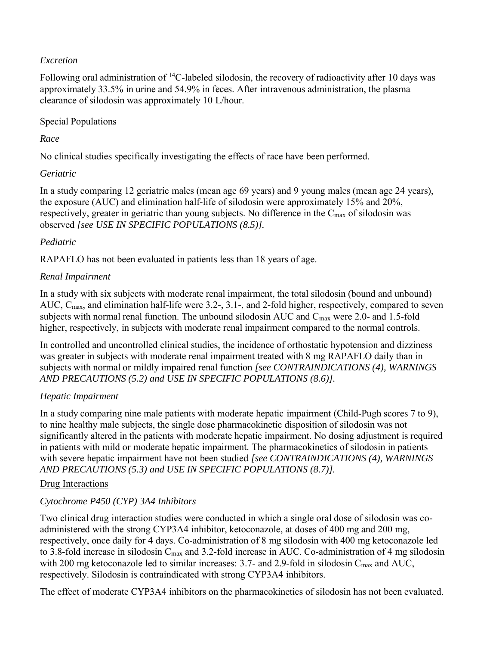#### *Excretion*

Following oral administration of  ${}^{14}C$ -labeled silodosin, the recovery of radioactivity after 10 days was approximately 33.5% in urine and 54.9% in feces. After intravenous administration, the plasma clearance of silodosin was approximately 10 L/hour.

#### Special Populations

#### *Race*

No clinical studies specifically investigating the effects of race have been performed.

#### *Geriatric*

In a study comparing 12 geriatric males (mean age 69 years) and 9 young males (mean age 24 years), the exposure (AUC) and elimination half-life of silodosin were approximately 15% and 20%, respectively, greater in geriatric than young subjects. No difference in the C<sub>max</sub> of silodosin was observed *[see USE IN SPECIFIC POPULATIONS (8.5)].* 

#### *Pediatric*

RAPAFLO has not been evaluated in patients less than 18 years of age.

#### *Renal Impairment*

In a study with six subjects with moderate renal impairment, the total silodosin (bound and unbound) AUC, C<sub>max</sub>, and elimination half-life were 3.2-, 3.1-, and 2-fold higher, respectively, compared to seven subjects with normal renal function. The unbound silodosin AUC and  $C_{\text{max}}$  were 2.0- and 1.5-fold higher, respectively, in subjects with moderate renal impairment compared to the normal controls.

In controlled and uncontrolled clinical studies, the incidence of orthostatic hypotension and dizziness was greater in subjects with moderate renal impairment treated with 8 mg RAPAFLO daily than in subjects with normal or mildly impaired renal function *[see CONTRAINDICATIONS (4), WARNINGS AND PRECAUTIONS (5.2) and USE IN SPECIFIC POPULATIONS (8.6)].*

### *Hepatic Impairment*

In a study comparing nine male patients with moderate hepatic impairment (Child-Pugh scores 7 to 9), to nine healthy male subjects, the single dose pharmacokinetic disposition of silodosin was not significantly altered in the patients with moderate hepatic impairment. No dosing adjustment is required in patients with mild or moderate hepatic impairment. The pharmacokinetics of silodosin in patients with severe hepatic impairment have not been studied *[see CONTRAINDICATIONS (4), WARNINGS AND PRECAUTIONS (5.3) and USE IN SPECIFIC POPULATIONS (8.7)].* 

#### Drug Interactions

### *Cytochrome P450 (CYP) 3A4 Inhibitors*

Two clinical drug interaction studies were conducted in which a single oral dose of silodosin was coadministered with the strong CYP3A4 inhibitor, ketoconazole, at doses of 400 mg and 200 mg, respectively, once daily for 4 days. Co-administration of 8 mg silodosin with 400 mg ketoconazole led to 3.8-fold increase in silodosin C<sub>max</sub> and 3.2-fold increase in AUC. Co-administration of 4 mg silodosin with 200 mg ketoconazole led to similar increases: 3.7- and 2.9-fold in silodosin  $C_{\text{max}}$  and AUC, respectively. Silodosin is contraindicated with strong CYP3A4 inhibitors.

The effect of moderate CYP3A4 inhibitors on the pharmacokinetics of silodosin has not been evaluated.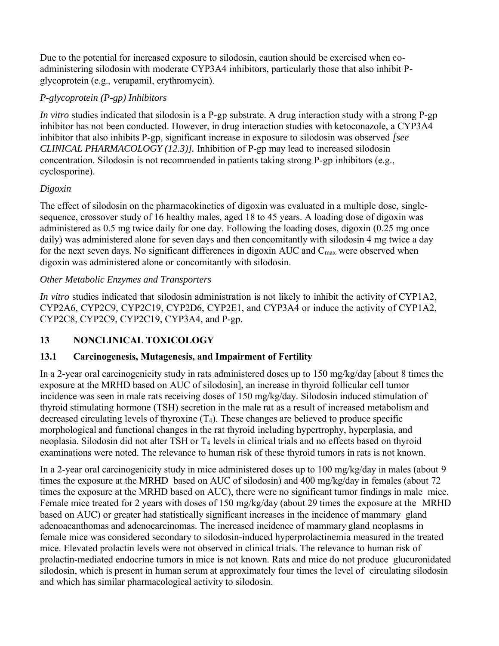Due to the potential for increased exposure to silodosin, caution should be exercised when coadministering silodosin with moderate CYP3A4 inhibitors, particularly those that also inhibit Pglycoprotein (e.g., verapamil, erythromycin).

# *P-glycoprotein (P-gp) Inhibitors*

*In vitro* studies indicated that silodosin is a P-gp substrate. A drug interaction study with a strong P-gp inhibitor has not been conducted. However, in drug interaction studies with ketoconazole, a CYP3A4 inhibitor that also inhibits P-gp, significant increase in exposure to silodosin was observed *[see CLINICAL PHARMACOLOGY (12.3)].* Inhibition of P-gp may lead to increased silodosin concentration. Silodosin is not recommended in patients taking strong P-gp inhibitors (e.g., cyclosporine).

# *Digoxin*

The effect of silodosin on the pharmacokinetics of digoxin was evaluated in a multiple dose, singlesequence, crossover study of 16 healthy males, aged 18 to 45 years. A loading dose of digoxin was administered as 0.5 mg twice daily for one day. Following the loading doses, digoxin (0.25 mg once daily) was administered alone for seven days and then concomitantly with silodosin 4 mg twice a day for the next seven days. No significant differences in digoxin AUC and  $C_{\text{max}}$  were observed when digoxin was administered alone or concomitantly with silodosin.

### *Other Metabolic Enzymes and Transporters*

*In vitro* studies indicated that silodosin administration is not likely to inhibit the activity of CYP1A2, CYP2A6, CYP2C9, CYP2C19, CYP2D6, CYP2E1, and CYP3A4 or induce the activity of CYP1A2, CYP2C8, CYP2C9, CYP2C19, CYP3A4, and P-gp.

# **13 NONCLINICAL TOXICOLOGY**

# **13.1 Carcinogenesis, Mutagenesis, and Impairment of Fertility**

In a 2-year oral carcinogenicity study in rats administered doses up to 150 mg/kg/day [about 8 times the exposure at the MRHD based on AUC of silodosin], an increase in thyroid follicular cell tumor incidence was seen in male rats receiving doses of 150 mg/kg/day. Silodosin induced stimulation of thyroid stimulating hormone (TSH) secretion in the male rat as a result of increased metabolism and decreased circulating levels of thyroxine  $(T_4)$ . These changes are believed to produce specific morphological and functional changes in the rat thyroid including hypertrophy, hyperplasia, and neoplasia. Silodosin did not alter TSH or T4 levels in clinical trials and no effects based on thyroid examinations were noted. The relevance to human risk of these thyroid tumors in rats is not known.

In a 2-year oral carcinogenicity study in mice administered doses up to 100 mg/kg/day in males (about 9 times the exposure at the MRHD based on AUC of silodosin) and 400 mg/kg/day in females (about 72 times the exposure at the MRHD based on AUC), there were no significant tumor findings in male mice. Female mice treated for 2 years with doses of 150 mg/kg/day (about 29 times the exposure at the MRHD based on AUC) or greater had statistically significant increases in the incidence of mammary gland adenoacanthomas and adenocarcinomas. The increased incidence of mammary gland neoplasms in female mice was considered secondary to silodosin-induced hyperprolactinemia measured in the treated mice. Elevated prolactin levels were not observed in clinical trials. The relevance to human risk of prolactin-mediated endocrine tumors in mice is not known. Rats and mice do not produce glucuronidated silodosin, which is present in human serum at approximately four times the level of circulating silodosin and which has similar pharmacological activity to silodosin.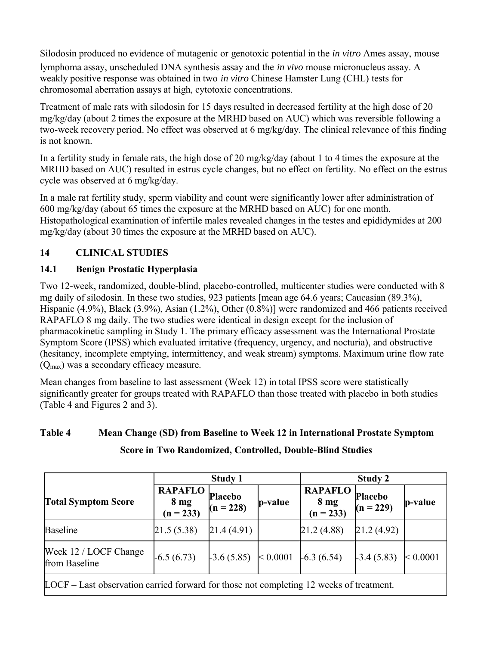Silodosin produced no evidence of mutagenic or genotoxic potential in the *in vitro* Ames assay, mouse lymphoma assay, unscheduled DNA synthesis assay and the *in vivo* mouse micronucleus assay. A weakly positive response was obtained in two *in vitro* Chinese Hamster Lung (CHL) tests for chromosomal aberration assays at high, cytotoxic concentrations.

Treatment of male rats with silodosin for 15 days resulted in decreased fertility at the high dose of 20 mg/kg/day (about 2 times the exposure at the MRHD based on AUC) which was reversible following a two-week recovery period. No effect was observed at 6 mg/kg/day. The clinical relevance of this finding is not known.

In a fertility study in female rats, the high dose of 20 mg/kg/day (about 1 to 4 times the exposure at the MRHD based on AUC) resulted in estrus cycle changes, but no effect on fertility. No effect on the estrus cycle was observed at 6 mg/kg/day.

In a male rat fertility study, sperm viability and count were significantly lower after administration of 600 mg/kg/day (about 65 times the exposure at the MRHD based on AUC) for one month. Histopathological examination of infertile males revealed changes in the testes and epididymides at 200 mg/kg/day (about 30 times the exposure at the MRHD based on AUC).

# **14 CLINICAL STUDIES**

### **14.1 Benign Prostatic Hyperplasia**

Two 12-week, randomized, double-blind, placebo-controlled, multicenter studies were conducted with 8 mg daily of silodosin. In these two studies, 923 patients [mean age 64.6 years; Caucasian (89.3%), Hispanic (4.9%), Black (3.9%), Asian (1.2%), Other (0.8%)] were randomized and 466 patients received RAPAFLO 8 mg daily. The two studies were identical in design except for the inclusion of pharmacokinetic sampling in Study 1. The primary efficacy assessment was the International Prostate Symptom Score (IPSS) which evaluated irritative (frequency, urgency, and nocturia), and obstructive (hesitancy, incomplete emptying, intermittency, and weak stream) symptoms. Maximum urine flow rate (Qmax) was a secondary efficacy measure.

Mean changes from baseline to last assessment (Week 12) in total IPSS score were statistically significantly greater for groups treated with RAPAFLO than those treated with placebo in both studies (Table 4 and Figures 2 and 3).

# **Table 4 Mean Change (SD) from Baseline to Week 12 in International Prostate Symptom Score in Two Randomized, Controlled, Double-Blind Studies**

|                                                                                                  | <b>Study 1</b>                                        |              |          | Study 2                                          |                        |          |  |
|--------------------------------------------------------------------------------------------------|-------------------------------------------------------|--------------|----------|--------------------------------------------------|------------------------|----------|--|
| <b>Total Symptom Score</b>                                                                       | <b>RAPAFLO</b> Placebo<br>$8 \text{ mg}$<br>(n = 233) | $(n = 228)$  | p-value  | <b>RAPAFLO</b><br>8 <sub>mg</sub><br>$(n = 233)$ | Placebo<br>$(n = 229)$ | p-value  |  |
| <b>Baseline</b>                                                                                  | 21.5(5.38)                                            | [21.4(4.91)] |          | 21.2 (4.88)                                      | 21.2(4.92)             |          |  |
| Week 12 / LOCF Change<br>from Baseline                                                           | $-6.5(6.73)$                                          | $-3.6(5.85)$ | < 0.0001 | $-6.3(6.54)$                                     | $-3.4(5.83)$           | < 0.0001 |  |
| $\text{LOCF}$ – Last observation carried forward for those not completing 12 weeks of treatment. |                                                       |              |          |                                                  |                        |          |  |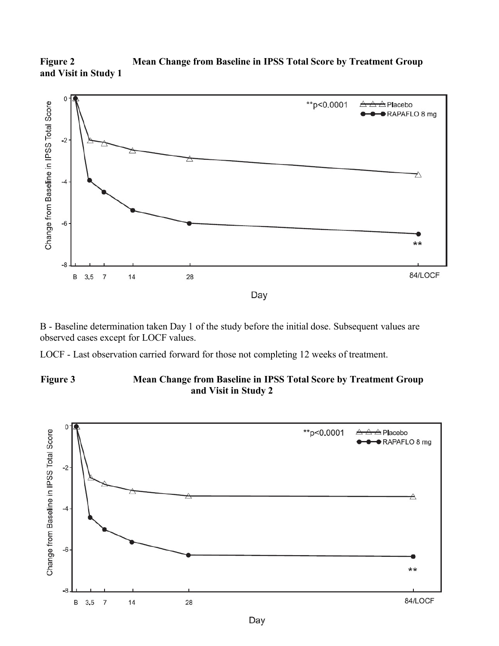



B - Baseline determination taken Day 1 of the study before the initial dose. Subsequent values are observed cases except for LOCF values.

LOCF - Last observation carried forward for those not completing 12 weeks of treatment.

#### **Figure 3 Mean Change from Baseline in IPSS Total Score by Treatment Group and Visit in Study 2**

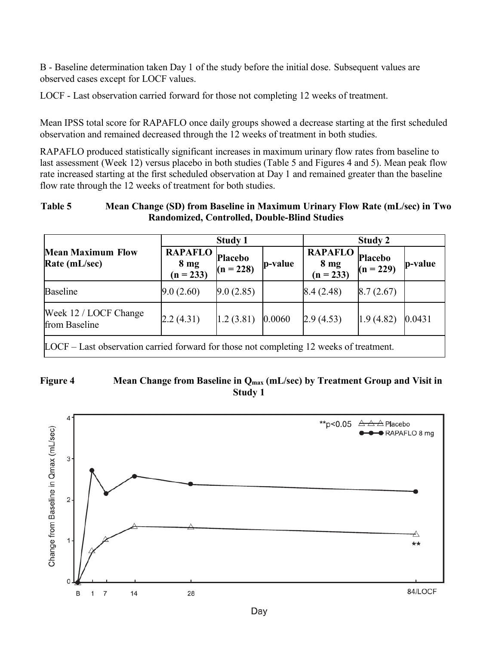B - Baseline determination taken Day 1 of the study before the initial dose. Subsequent values are observed cases except for LOCF values.

LOCF - Last observation carried forward for those not completing 12 weeks of treatment.

Mean IPSS total score for RAPAFLO once daily groups showed a decrease starting at the first scheduled observation and remained decreased through the 12 weeks of treatment in both studies.

RAPAFLO produced statistically significant increases in maximum urinary flow rates from baseline to last assessment (Week 12) versus placebo in both studies (Table 5 and Figures 4 and 5). Mean peak flow rate increased starting at the first scheduled observation at Day 1 and remained greater than the baseline flow rate through the 12 weeks of treatment for both studies.

#### **Table 5 Mean Change (SD) from Baseline in Maximum Urinary Flow Rate (mL/sec) in Two Randomized, Controlled, Double-Blind Studies**

|                             |           | <b>Study 1</b>                                     |                             |                        | Study 2                                            |  |  |
|-----------------------------|-----------|----------------------------------------------------|-----------------------------|------------------------|----------------------------------------------------|--|--|
| $8 \text{ mg}$<br>(n = 233) |           |                                                    | $8 \text{ mg}$<br>(n = 233) |                        | p-value                                            |  |  |
| 9.0(2.60)                   |           |                                                    |                             |                        |                                                    |  |  |
| 2.2(4.31)                   | 1.2(3.81) |                                                    |                             | 1.9(4.82)              | 0.0431                                             |  |  |
|                             |           | <b>RAPAFLO</b> Placebo<br>$(n = 228)$<br>9.0(2.85) | p-value<br>0.0060           | 8.4(2.48)<br>2.9(4.53) | <b>RAPAFLO</b> Placebo<br>$(n = 229)$<br>8.7(2.67) |  |  |

LOCF – Last observation carried forward for those not completing 12 weeks of treatment.

#### Figure 4 Mean Change from Baseline in Q<sub>max</sub> (mL/sec) by Treatment Group and Visit in **Study 1**

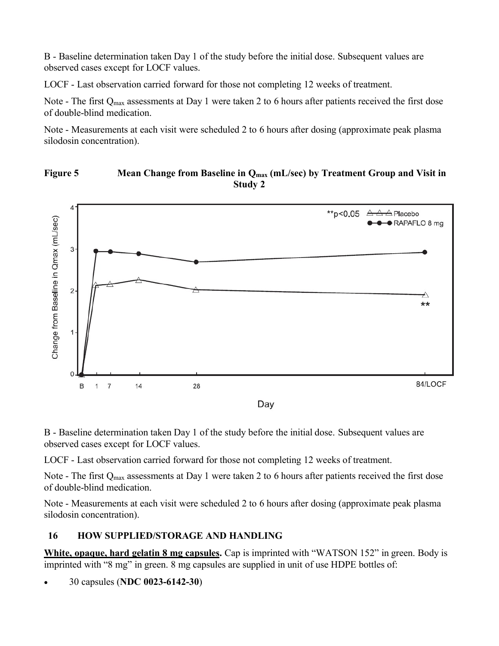B - Baseline determination taken Day 1 of the study before the initial dose. Subsequent values are observed cases except for LOCF values.

LOCF - Last observation carried forward for those not completing 12 weeks of treatment.

Note - The first Q<sub>max</sub> assessments at Day 1 were taken 2 to 6 hours after patients received the first dose of double-blind medication.

Note - Measurements at each visit were scheduled 2 to 6 hours after dosing (approximate peak plasma silodosin concentration).

#### Figure 5 Mean Change from Baseline in Q<sub>max</sub> (mL/sec) by Treatment Group and Visit in **Study 2**



B - Baseline determination taken Day 1 of the study before the initial dose. Subsequent values are observed cases except for LOCF values.

LOCF - Last observation carried forward for those not completing 12 weeks of treatment.

Note - The first Q<sub>max</sub> assessments at Day 1 were taken 2 to 6 hours after patients received the first dose of double-blind medication.

Note - Measurements at each visit were scheduled 2 to 6 hours after dosing (approximate peak plasma silodosin concentration).

### **16 HOW SUPPLIED/STORAGE AND HANDLING**

**White, opaque, hard gelatin 8 mg capsules.** Cap is imprinted with "WATSON 152" in green. Body is imprinted with "8 mg" in green. 8 mg capsules are supplied in unit of use HDPE bottles of:

30 capsules (**NDC 0023-6142-30**)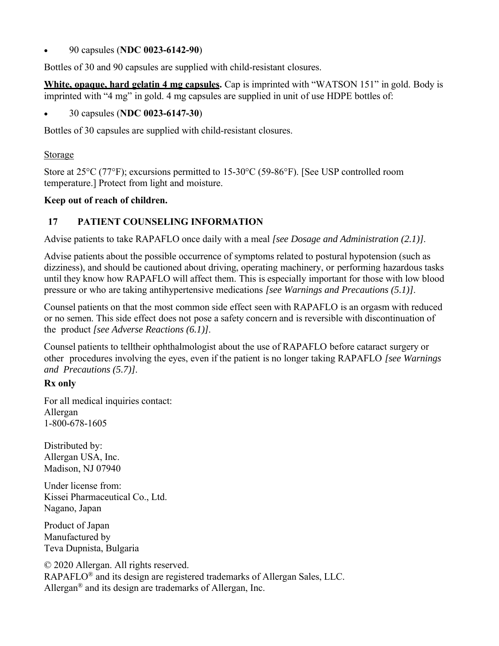#### 90 capsules (**NDC 0023-6142-90**)

Bottles of 30 and 90 capsules are supplied with child-resistant closures.

**White, opaque, hard gelatin 4 mg capsules.** Cap is imprinted with "WATSON 151" in gold. Body is imprinted with "4 mg" in gold. 4 mg capsules are supplied in unit of use HDPE bottles of:

#### 30 capsules (**NDC 0023-6147-30**)

Bottles of 30 capsules are supplied with child-resistant closures.

#### **Storage**

Store at 25°C (77°F); excursions permitted to 15-30°C (59-86°F). [See USP controlled room temperature.] Protect from light and moisture.

#### **Keep out of reach of children.**

# **17 PATIENT COUNSELING INFORMATION**

Advise patients to take RAPAFLO once daily with a meal *[see Dosage and Administration (2.1)]*.

Advise patients about the possible occurrence of symptoms related to postural hypotension (such as dizziness), and should be cautioned about driving, operating machinery, or performing hazardous tasks until they know how RAPAFLO will affect them. This is especially important for those with low blood pressure or who are taking antihypertensive medications *[see Warnings and Precautions (5.1)]*.

Counsel patients on that the most common side effect seen with RAPAFLO is an orgasm with reduced or no semen. This side effect does not pose a safety concern and is reversible with discontinuation of the product *[see Adverse Reactions (6.1)]*.

Counsel patients to telltheir ophthalmologist about the use of RAPAFLO before cataract surgery or other procedures involving the eyes, even if the patient is no longer taking RAPAFLO *[see Warnings and Precautions (5.7)]*.

### **Rx only**

For all medical inquiries contact: Allergan 1-800-678-1605

Distributed by: Allergan USA, Inc. Madison, NJ 07940

Under license from: Kissei Pharmaceutical Co., Ltd. Nagano, Japan

Product of Japan Manufactured by Teva Dupnista, Bulgaria

© 2020 Allergan. All rights reserved. RAPAFLO® and its design are registered trademarks of Allergan Sales, LLC. Allergan® and its design are trademarks of Allergan, Inc.